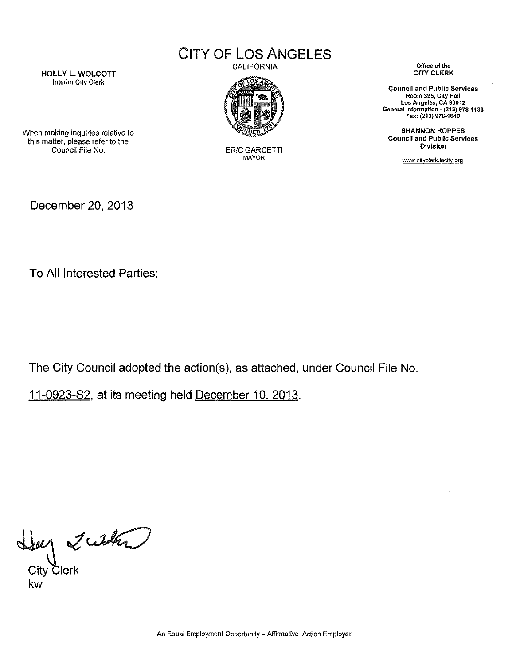CITY OF **LOS** ANGELES

HOLLY L. WOLCOTT Interim City Clerk

CALIFORNIA



ERIC GARCETTI MAYOR

**Office of the**  CITY CLERK

**Council and Public Services Room 395, City Hall Los Angeles, CA 90012 General Information· (213) 978-1133**  Fax: (213) 978·1040

SHANNON HOPPES **Council and Public Services Division** 

www.cityclerk.Jacitv.org

When making inquiries relative to this matter, please refer to the Council File No.

December 20, 2013

To All Interested Parties:

The City Council adopted the action(s), as attached, under Council File No.

11-0923-82, at its meeting held December 10. 2013.

Help 2 with

kw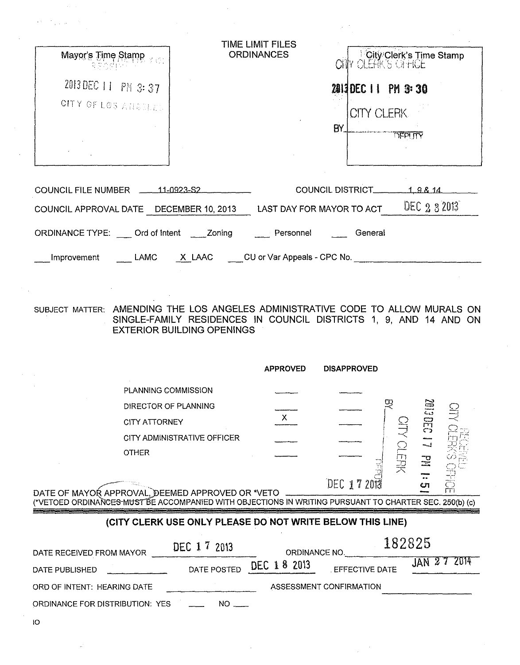| Mayor's Time Stamp                          | TIME LIMIT FILES<br><b>ORDINANCES</b> |                           |                   | <b>City Clerk's Time Stamp</b> |
|---------------------------------------------|---------------------------------------|---------------------------|-------------------|--------------------------------|
| 2013 DEC 11 PM 3:37                         |                                       |                           |                   | 2013 DEC 11 PM 3:30            |
| CITY OF LOS ANGELES                         |                                       | BY.                       | <b>CITY CLERK</b> | <b>TIEPUTY</b>                 |
| <b>COUNCIL FILE NUMBER</b><br>$-11-0923-52$ |                                       | COUNCIL DISTRICT          |                   | 19814                          |
| COUNCIL APPROVAL DATE DECEMBER 10, 2013     |                                       | LAST DAY FOR MAYOR TO ACT |                   | DEC 2 3 2013                   |
| ORDINANCE TYPE: Ord of Intent Zoning        | Personnel                             |                           | General           |                                |

Improvement LAMC X LAAC CU or Var Appeals - CPC No.

SUBJECT MATTER: AMENDING THE LOS ANGELES ADMINISTRATIVE CODE TO ALLOW MURALS ON SINGLE-FAMILY RESIDENCES IN COUNCIL DISTRICTS 1, 9, AND 14 AND ON EXTERIOR BUILDING OPENINGS

|                                                                                                                    | <b>APPROVED</b> | <b>DISAPPROVED</b> |   |               |         |
|--------------------------------------------------------------------------------------------------------------------|-----------------|--------------------|---|---------------|---------|
| PLANNING COMMISSION                                                                                                |                 |                    |   |               |         |
| DIRECTOR OF PLANNING                                                                                               |                 |                    | w | E III         | 뫀       |
| <b>CITY ATTORNEY</b>                                                                                               |                 |                    |   | 5EC           |         |
| CITY ADMINISTRATIVE OFFICER                                                                                        |                 |                    |   |               |         |
| <b>OTHER</b>                                                                                                       |                 |                    |   | $\frac{1}{2}$ |         |
|                                                                                                                    |                 |                    | 곶 | 44            |         |
| DATE OF MAYOR APPROVAL, DEEMED APPROVED OR *VETO                                                                   |                 | DEC 172013         |   |               | ्<br>ति |
| (*VETOED ORDINANC <del>ES MUST BE</del> ACCOMPANIED WITH OBJECTIONS IN WRITING PURSUANT TO CHARTER SEC. 250(b) (c) |                 |                    |   |               |         |

### **(CITY CLERK USE ONLY PLEASE DO NOT WRITE BELOW THIS LINE)**

| DATE RECEIVED FROM MAYOR        | DEC 1 7 2013 | ORDINANCE NO. | 182825                  |             |
|---------------------------------|--------------|---------------|-------------------------|-------------|
| DATE PUBLISHED                  | DATE POSTED  | DEC 18 2013   | <b>EFFECTIVE DATE</b>   | JAN 27 2014 |
| ORD OF INTENT: HEARING DATE     |              |               | ASSESSMENT CONFIRMATION |             |
| ORDINANCE FOR DISTRIBUTION: YES | NO L         |               |                         |             |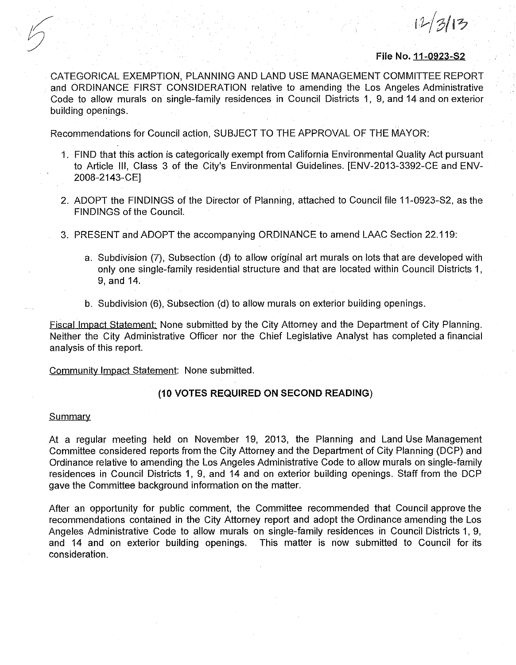**File** No. 11-0923-S2

 $1/313$ 

CATEGORICAL EXEMPTION, PLANNING AND LAND USE MANAGEMENT COMMITTEE REPORT and ORDINANCE FIRST CONSIDERATION relative to amending the Los Angeles Administrative Code to allow murals on single-family residences in Council Districts 1, 9, and 14 and on exterior building openings.

Recommendations for Council action, SUBJECT TO THE APPROVAL OF THE MAYOR:

- 1. FIND that this action is categorically exempt from California Environmental Quality Act pursuant to Article Ill, Class 3 of the City's Environmental Guidelines. [ENV-2013-3392-CE and ENV-2008-2143-CE]
- 2. ADOPT the FINDINGS of the Director of Planning, attached to Council file 11-0923-S2, as the FINDINGS of the Council.
- 3. PRESENT and ADOPT the accompanying ORDINANCE to amend LAAC Section 22.119:
	- a. Subdivision (7), Subsection (d) to allow original art murals on lots that are developed with only one single-family residential structure and that are located within Council Districts 1, 9, and 14.
	- b. Subdivision (6), Subsection (d) to allow murals on exterior building openings.

Fiscal Impact Statement: None submitted by the City Attorney and the Department of City Planning. Neither the City Administrative Officer nor the Chief Legislative Analyst has completed a financial analysis of this report.

Community Impact Statement: None submitted.

### **(10 VOTES REQUIRED ON SECOND READING)**

### **Summary**

At a regular meeting held on November 19, 2013, the Planning and Land Use Management Committee considered reports from the City Attorney and the Department of City Planning (DCP) and Ordinance relative to amending the Los Angeles Administrative Code to allow murals on single-family residences in Council Districts 1, 9, and 14 and on exterior building openings. Staff from the DCP gave the Committee background information on the matter.

After an opportunity for public comment, the Committee recommended that Council approve the recommendations contained in the City Attorney report and adopt the Ordinance amending the Los Angeles Administrative Code to allow murals on single-family residences in Council Districts 1, 9, and 14 and on exterior building openings. This matter is now submitted to Council for its consideration.